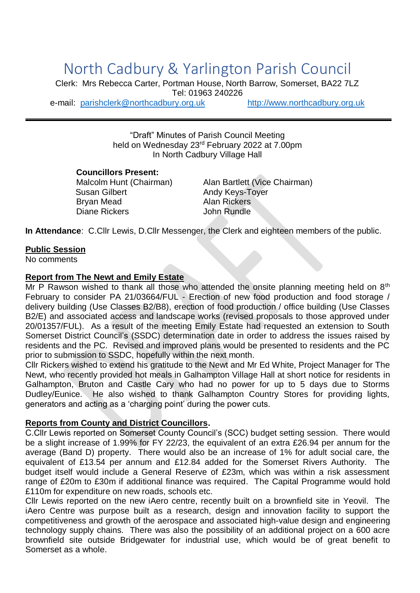# North Cadbury & Yarlington Parish Council

Clerk: Mrs Rebecca Carter, Portman House, North Barrow, Somerset, BA22 7LZ Tel: 01963 240226 e-mail: [parishclerk@northcadbury.org.uk](mailto:parishclerk@northcadbury.org.uk) [http://www.northcadbury.org.uk](http://www.northcadbury.org.uk/)

> "Draft" Minutes of Parish Council Meeting held on Wednesday 23rd February 2022 at 7.00pm In North Cadbury Village Hall

**Councillors Present:**

Susan Gilbert **Andy Keys-Toyer** Brvan Mead **Alan Rickers** Diane Rickers **John Rundle** 

Malcolm Hunt (Chairman) Alan Bartlett (Vice Chairman)

**In Attendance**: C.Cllr Lewis, D.Cllr Messenger, the Clerk and eighteen members of the public.

#### **Public Session**

No comments

#### **Report from The Newt and Emily Estate**

Mr P Rawson wished to thank all those who attended the onsite planning meeting held on  $8<sup>th</sup>$ February to consider PA 21/03664/FUL - Erection of new food production and food storage / delivery building (Use Classes B2/B8), erection of food production / office building (Use Classes B2/E) and associated access and landscape works (revised proposals to those approved under 20/01357/FUL). As a result of the meeting Emily Estate had requested an extension to South Somerset District Council's (SSDC) determination date in order to address the issues raised by residents and the PC. Revised and improved plans would be presented to residents and the PC prior to submission to SSDC, hopefully within the next month.

Cllr Rickers wished to extend his gratitude to the Newt and Mr Ed White, Project Manager for The Newt, who recently provided hot meals in Galhampton Village Hall at short notice for residents in Galhampton, Bruton and Castle Cary who had no power for up to 5 days due to Storms Dudley/Eunice. He also wished to thank Galhampton Country Stores for providing lights, generators and acting as a 'charging point' during the power cuts.

#### **Reports from County and District Councillors.**

C.Cllr Lewis reported on Somerset County Council's (SCC) budget setting session. There would be a slight increase of 1.99% for FY 22/23, the equivalent of an extra £26.94 per annum for the average (Band D) property. There would also be an increase of 1% for adult social care, the equivalent of £13.54 per annum and £12.84 added for the Somerset Rivers Authority. The budget itself would include a General Reserve of £23m, which was within a risk assessment range of £20m to £30m if additional finance was required. The Capital Programme would hold £110m for expenditure on new roads, schools etc.

Cllr Lewis reported on the new iAero centre, recently built on a brownfield site in Yeovil. The iAero Centre was purpose built as a research, design and innovation facility to support the competitiveness and growth of the aerospace and associated high-value design and engineering technology supply chains. There was also the possibility of an additional project on a 600 acre brownfield site outside Bridgewater for industrial use, which would be of great benefit to Somerset as a whole.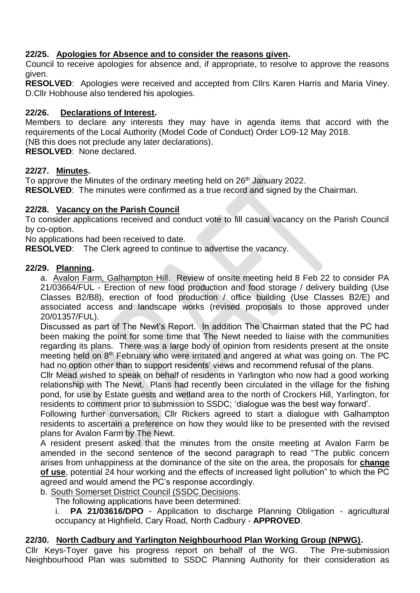# **22/25. Apologies for Absence and to consider the reasons given.**

Council to receive apologies for absence and, if appropriate, to resolve to approve the reasons given.

**RESOLVED**: Apologies were received and accepted from Cllrs Karen Harris and Maria Viney. D.Cllr Hobhouse also tendered his apologies.

## **22/26. Declarations of Interest.**

Members to declare any interests they may have in agenda items that accord with the requirements of the Local Authority (Model Code of Conduct) Order LO9-12 May 2018. (NB this does not preclude any later declarations).

**RESOLVED**: None declared.

## **22/27. Minutes.**

To approve the Minutes of the ordinary meeting held on 26<sup>th</sup> January 2022. **RESOLVED**: The minutes were confirmed as a true record and signed by the Chairman.

## **22/28. Vacancy on the Parish Council**

To consider applications received and conduct vote to fill casual vacancy on the Parish Council by co-option.

No applications had been received to date.

**RESOLVED**: The Clerk agreed to continue to advertise the vacancy.

## **22/29. Planning.**

a. Avalon Farm, Galhampton Hill. Review of onsite meeting held 8 Feb 22 to consider PA 21/03664/FUL - Erection of new food production and food storage / delivery building (Use Classes B2/B8), erection of food production / office building (Use Classes B2/E) and associated access and landscape works (revised proposals to those approved under 20/01357/FUL).

Discussed as part of The Newt's Report. In addition The Chairman stated that the PC had been making the point for some time that The Newt needed to liaise with the communities regarding its plans. There was a large body of opinion from residents present at the onsite meeting held on 8<sup>th</sup> February who were irritated and angered at what was going on. The PC had no option other than to support residents' views and recommend refusal of the plans.

Cllr Mead wished to speak on behalf of residents in Yarlington who now had a good working relationship with The Newt. Plans had recently been circulated in the village for the fishing pond, for use by Estate guests and wetland area to the north of Crockers Hill, Yarlington, for residents to comment prior to submission to SSDC; 'dialogue was the best way forward'.

Following further conversation, Cllr Rickers agreed to start a dialogue with Galhampton residents to ascertain a preference on how they would like to be presented with the revised plans for Avalon Farm by The Newt.

A resident present asked that the minutes from the onsite meeting at Avalon Farm be amended in the second sentence of the second paragraph to read "The public concern arises from unhappiness at the dominance of the site on the area, the proposals for **change of use**, potential 24 hour working and the effects of increased light pollution" to which the PC agreed and would amend the PC's response accordingly.

b. South Somerset District Council (SSDC Decisions.

The following applications have been determined:

i. **PA 21/03616/DPO** - Application to discharge Planning Obligation - agricultural occupancy at Highfield, Cary Road, North Cadbury - **APPROVED**.

## **22/30. North Cadbury and Yarlington Neighbourhood Plan Working Group (NPWG).**

Cllr Keys-Toyer gave his progress report on behalf of the WG. The Pre-submission Neighbourhood Plan was submitted to SSDC Planning Authority for their consideration as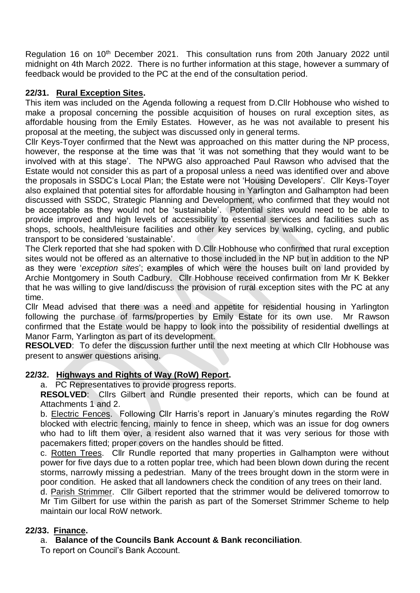Regulation 16 on 10<sup>th</sup> December 2021. This consultation runs from 20th January 2022 until midnight on 4th March 2022. There is no further information at this stage, however a summary of feedback would be provided to the PC at the end of the consultation period.

## **22/31. Rural Exception Sites.**

This item was included on the Agenda following a request from D.Cllr Hobhouse who wished to make a proposal concerning the possible acquisition of houses on rural exception sites, as affordable housing from the Emily Estates. However, as he was not available to present his proposal at the meeting, the subject was discussed only in general terms.

Cllr Keys-Toyer confirmed that the Newt was approached on this matter during the NP process, however, the response at the time was that 'it was not something that they would want to be involved with at this stage'. The NPWG also approached Paul Rawson who advised that the Estate would not consider this as part of a proposal unless a need was identified over and above the proposals in SSDC's Local Plan; the Estate were not 'Housing Developers'. Cllr Keys-Toyer also explained that potential sites for affordable housing in Yarlington and Galhampton had been discussed with SSDC, Strategic Planning and Development, who confirmed that they would not be acceptable as they would not be 'sustainable'. Potential sites would need to be able to provide improved and high levels of accessibility to essential services and facilities such as shops, schools, health/leisure facilities and other key services by walking, cycling, and public transport to be considered 'sustainable'.

The Clerk reported that she had spoken with D.Cllr Hobhouse who confirmed that rural exception sites would not be offered as an alternative to those included in the NP but in addition to the NP as they were '*exception sites*'; examples of which were the houses built on land provided by Archie Montgomery in South Cadbury. Cllr Hobhouse received confirmation from Mr K Bekker that he was willing to give land/discuss the provision of rural exception sites with the PC at any time.

Cllr Mead advised that there was a need and appetite for residential housing in Yarlington following the purchase of farms/properties by Emily Estate for its own use. Mr Rawson confirmed that the Estate would be happy to look into the possibility of residential dwellings at Manor Farm, Yarlington as part of its development.

**RESOLVED:** To defer the discussion further until the next meeting at which Cllr Hobhouse was present to answer questions arising.

#### **22/32. Highways and Rights of Way (RoW) Report.**

a. PC Representatives to provide progress reports.

**RESOLVED**: Cllrs Gilbert and Rundle presented their reports, which can be found at Attachments 1 and 2.

b. Electric Fences. Following Cllr Harris's report in January's minutes regarding the RoW blocked with electric fencing, mainly to fence in sheep, which was an issue for dog owners who had to lift them over, a resident also warned that it was very serious for those with pacemakers fitted; proper covers on the handles should be fitted.

c. Rotten Trees. Cllr Rundle reported that many properties in Galhampton were without power for five days due to a rotten poplar tree, which had been blown down during the recent storms, narrowly missing a pedestrian. Many of the trees brought down in the storm were in poor condition. He asked that all landowners check the condition of any trees on their land.

d. Parish Strimmer. Cllr Gilbert reported that the strimmer would be delivered tomorrow to Mr Tim Gilbert for use within the parish as part of the Somerset Strimmer Scheme to help maintain our local RoW network.

#### **22/33. Finance.**

a. **Balance of the Councils Bank Account & Bank reconciliation**.

To report on Council's Bank Account.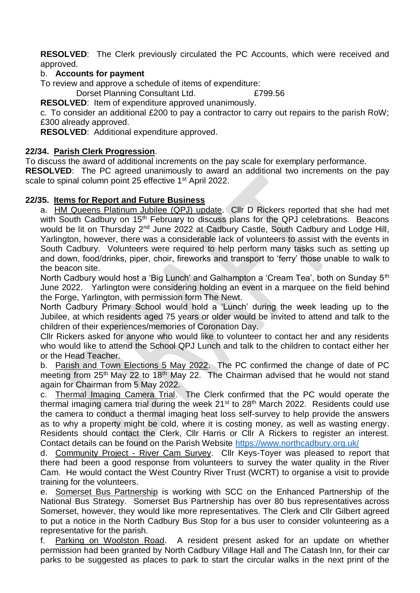**RESOLVED**: The Clerk previously circulated the PC Accounts, which were received and approved.

## b. **Accounts for payment**

To review and approve a schedule of items of expenditure:

Dorset Planning Consultant Ltd. £799.56

**RESOLVED**: Item of expenditure approved unanimously.

c. To consider an additional £200 to pay a contractor to carry out repairs to the parish RoW; £300 already approved.

**RESOLVED**: Additional expenditure approved.

#### **22/34. Parish Clerk Progression**.

To discuss the award of additional increments on the pay scale for exemplary performance.

**RESOLVED**: The PC agreed unanimously to award an additional two increments on the pay scale to spinal column point 25 effective 1<sup>st</sup> April 2022.

#### **22/35. Items for Report and Future Business**

a. HM Queens Platinum Jubilee (QPJ) update. Cllr D Rickers reported that she had met with South Cadbury on 15<sup>th</sup> February to discuss plans for the QPJ celebrations. Beacons would be lit on Thursday 2<sup>nd</sup> June 2022 at Cadbury Castle, South Cadbury and Lodge Hill, Yarlington, however, there was a considerable lack of volunteers to assist with the events in South Cadbury. Volunteers were required to help perform many tasks such as setting up and down, food/drinks, piper, choir, fireworks and transport to 'ferry' those unable to walk to the beacon site.

North Cadbury would host a 'Big Lunch' and Galhampton a 'Cream Tea', both on Sunday 5<sup>th</sup> June 2022. Yarlington were considering holding an event in a marquee on the field behind the Forge, Yarlington, with permission form The Newt.

North Cadbury Primary School would hold a 'Lunch' during the week leading up to the Jubilee, at which residents aged 75 years or older would be invited to attend and talk to the children of their experiences/memories of Coronation Day.

Cllr Rickers asked for anyone who would like to volunteer to contact her and any residents who would like to attend the School QPJ Lunch and talk to the children to contact either her or the Head Teacher.

b. Parish and Town Elections 5 May 2022. The PC confirmed the change of date of PC meeting from  $25<sup>th</sup>$  May 22 to 18<sup>th</sup> May 22. The Chairman advised that he would not stand again for Chairman from 5 May 2022.

c. Thermal Imaging Camera Trial. The Clerk confirmed that the PC would operate the thermal imaging camera trial during the week  $21^{st}$  to  $28^{th}$  March 2022. Residents could use the camera to conduct a thermal imaging heat loss self-survey to help provide the answers as to why a property might be cold, where it is costing money, as well as wasting energy. Residents should contact the Clerk, Cllr Harris or Cllr A Rickers to register an interest. Contact details can be found on the Parish Website<https://www.northcadbury.org.uk/>

d. Community Project - River Cam Survey. Cllr Keys-Toyer was pleased to report that there had been a good response from volunteers to survey the water quality in the River Cam. He would contact the West Country River Trust (WCRT) to organise a visit to provide training for the volunteers.

e. Somerset Bus Partnership is working with SCC on the Enhanced Partnership of the National Bus Strategy. Somerset Bus Partnership has over 80 bus representatives across Somerset, however, they would like more representatives. The Clerk and Cllr Gilbert agreed to put a notice in the North Cadbury Bus Stop for a bus user to consider volunteering as a representative for the parish.

f. Parking on Woolston Road. A resident present asked for an update on whether permission had been granted by North Cadbury Village Hall and The Catash Inn, for their car parks to be suggested as places to park to start the circular walks in the next print of the